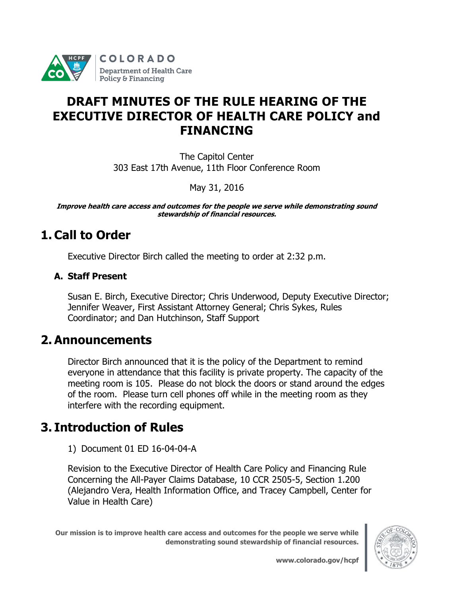

# **DRAFT MINUTES OF THE RULE HEARING OF THE EXECUTIVE DIRECTOR OF HEALTH CARE POLICY and FINANCING**

The Capitol Center 303 East 17th Avenue, 11th Floor Conference Room

May 31, 2016

**Improve health care access and outcomes for the people we serve while demonstrating sound stewardship of financial resources.**

# **1. Call to Order**

Executive Director Birch called the meeting to order at 2:32 p.m.

#### **A. Staff Present**

Susan E. Birch, Executive Director; Chris Underwood, Deputy Executive Director; Jennifer Weaver, First Assistant Attorney General; Chris Sykes, Rules Coordinator; and Dan Hutchinson, Staff Support

### **2. Announcements**

Director Birch announced that it is the policy of the Department to remind everyone in attendance that this facility is private property. The capacity of the meeting room is 105. Please do not block the doors or stand around the edges of the room. Please turn cell phones off while in the meeting room as they interfere with the recording equipment.

# **3. Introduction of Rules**

1) [Document 01](https://www.colorado.gov/pacific/sites/default/files/Doc%2002%20-%20MSB%2014-07-03-A%20Childrens%20Dental%20OctFin%20s-o.pdf) ED 16-04-04-A

Revision to the Executive Director of Health Care Policy and Financing Rule Concerning the All-Payer Claims Database, 10 CCR 2505-5, Section 1.200 (Alejandro Vera, Health Information Office, and Tracey Campbell, Center for Value in Health Care)

**Our mission is to improve health care access and outcomes for the people we serve while demonstrating sound stewardship of financial resources.**

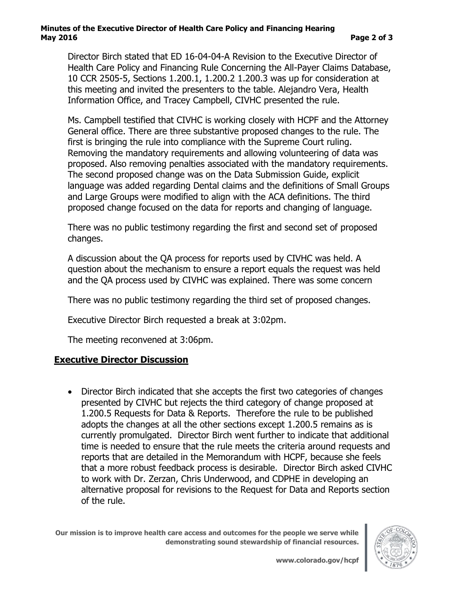#### **Minutes of the Executive Director of Health Care Policy and Financing Hearing May 2016 Page 2 of 3**

Director Birch stated that ED 16-04-04-A Revision to the Executive Director of Health Care Policy and Financing Rule Concerning the All-Payer Claims Database, 10 CCR 2505-5, Sections 1.200.1, 1.200.2 1.200.3 was up for consideration at this meeting and invited the presenters to the table. Alejandro Vera, Health Information Office, and Tracey Campbell, CIVHC presented the rule.

Ms. Campbell testified that CIVHC is working closely with HCPF and the Attorney General office. There are three substantive proposed changes to the rule. The first is bringing the rule into compliance with the Supreme Court ruling. Removing the mandatory requirements and allowing volunteering of data was proposed. Also removing penalties associated with the mandatory requirements. The second proposed change was on the Data Submission Guide, explicit language was added regarding Dental claims and the definitions of Small Groups and Large Groups were modified to align with the ACA definitions. The third proposed change focused on the data for reports and changing of language.

There was no public testimony regarding the first and second set of proposed changes.

A discussion about the QA process for reports used by CIVHC was held. A question about the mechanism to ensure a report equals the request was held and the QA process used by CIVHC was explained. There was some concern

There was no public testimony regarding the third set of proposed changes.

Executive Director Birch requested a break at 3:02pm.

The meeting reconvened at 3:06pm.

#### **Executive Director Discussion**

• Director Birch indicated that she accepts the first two categories of changes presented by CIVHC but rejects the third category of change proposed at 1.200.5 Requests for Data & Reports. Therefore the rule to be published adopts the changes at all the other sections except 1.200.5 remains as is currently promulgated. Director Birch went further to indicate that additional time is needed to ensure that the rule meets the criteria around requests and reports that are detailed in the Memorandum with HCPF, because she feels that a more robust feedback process is desirable. Director Birch asked CIVHC to work with Dr. Zerzan, Chris Underwood, and CDPHE in developing an alternative proposal for revisions to the Request for Data and Reports section of the rule.